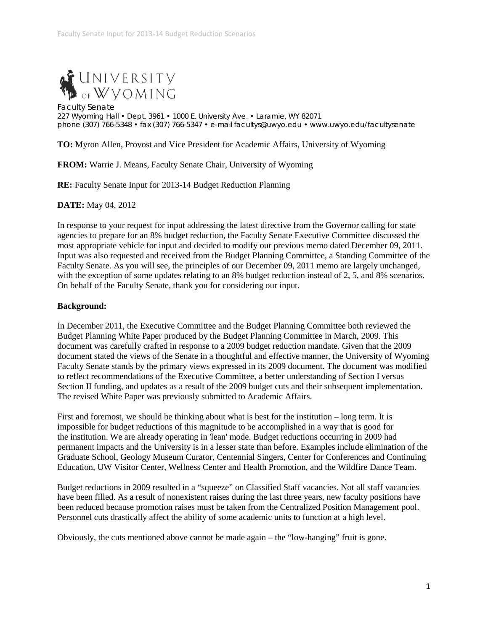

Faculty Senate 227 Wyoming Hall • Dept. 3961 • 1000 E. University Ave. • Laramie, WY 82071 phone (307) 766-5348 • fax (307) 766-5347 • e-mail facultys@uwyo.edu • www.uwyo.edu/facultysenate

**TO:** Myron Allen, Provost and Vice President for Academic Affairs, University of Wyoming

**FROM:** Warrie J. Means, Faculty Senate Chair, University of Wyoming

**RE:** Faculty Senate Input for 2013-14 Budget Reduction Planning

**DATE:** May 04, 2012

In response to your request for input addressing the latest directive from the Governor calling for state agencies to prepare for an 8% budget reduction, the Faculty Senate Executive Committee discussed the most appropriate vehicle for input and decided to modify our previous memo dated December 09, 2011. Input was also requested and received from the Budget Planning Committee, a Standing Committee of the Faculty Senate. As you will see, the principles of our December 09, 2011 memo are largely unchanged, with the exception of some updates relating to an 8% budget reduction instead of 2, 5, and 8% scenarios. On behalf of the Faculty Senate, thank you for considering our input.

## **Background:**

In December 2011, the Executive Committee and the Budget Planning Committee both reviewed the Budget Planning White Paper produced by the Budget Planning Committee in March, 2009. This document was carefully crafted in response to a 2009 budget reduction mandate. Given that the 2009 document stated the views of the Senate in a thoughtful and effective manner, the University of Wyoming Faculty Senate stands by the primary views expressed in its 2009 document. The document was modified to reflect recommendations of the Executive Committee, a better understanding of Section I versus Section II funding, and updates as a result of the 2009 budget cuts and their subsequent implementation. The revised White Paper was previously submitted to Academic Affairs.

First and foremost, we should be thinking about what is best for the institution – long term. It is impossible for budget reductions of this magnitude to be accomplished in a way that is good for the institution. We are already operating in 'lean' mode. Budget reductions occurring in 2009 had permanent impacts and the University is in a lesser state than before. Examples include elimination of the Graduate School, Geology Museum Curator, Centennial Singers, Center for Conferences and Continuing Education, UW Visitor Center, Wellness Center and Health Promotion, and the Wildfire Dance Team.

Budget reductions in 2009 resulted in a "squeeze" on Classified Staff vacancies. Not all staff vacancies have been filled. As a result of nonexistent raises during the last three years, new faculty positions have been reduced because promotion raises must be taken from the Centralized Position Management pool. Personnel cuts drastically affect the ability of some academic units to function at a high level.

Obviously, the cuts mentioned above cannot be made again – the "low-hanging" fruit is gone.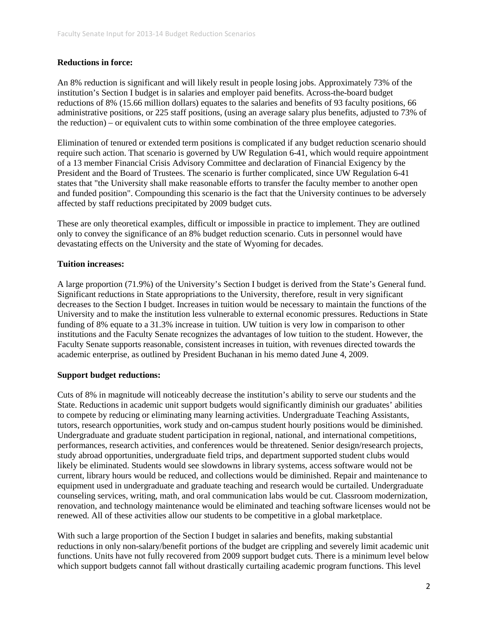## **Reductions in force:**

An 8% reduction is significant and will likely result in people losing jobs. Approximately 73% of the institution's Section I budget is in salaries and employer paid benefits. Across-the-board budget reductions of 8% (15.66 million dollars) equates to the salaries and benefits of 93 faculty positions, 66 administrative positions, or 225 staff positions, (using an average salary plus benefits, adjusted to 73% of the reduction) – or equivalent cuts to within some combination of the three employee categories.

Elimination of tenured or extended term positions is complicated if any budget reduction scenario should require such action. That scenario is governed by UW Regulation 6-41, which would require appointment of a 13 member Financial Crisis Advisory Committee and declaration of Financial Exigency by the President and the Board of Trustees. The scenario is further complicated, since UW Regulation 6-41 states that "the University shall make reasonable efforts to transfer the faculty member to another open and funded position". Compounding this scenario is the fact that the University continues to be adversely affected by staff reductions precipitated by 2009 budget cuts.

These are only theoretical examples, difficult or impossible in practice to implement. They are outlined only to convey the significance of an 8% budget reduction scenario. Cuts in personnel would have devastating effects on the University and the state of Wyoming for decades.

## **Tuition increases:**

A large proportion (71.9%) of the University's Section I budget is derived from the State's General fund. Significant reductions in State appropriations to the University, therefore, result in very significant decreases to the Section I budget. Increases in tuition would be necessary to maintain the functions of the University and to make the institution less vulnerable to external economic pressures. Reductions in State funding of 8% equate to a 31.3% increase in tuition. UW tuition is very low in comparison to other institutions and the Faculty Senate recognizes the advantages of low tuition to the student. However, the Faculty Senate supports reasonable, consistent increases in tuition, with revenues directed towards the academic enterprise, as outlined by President Buchanan in his memo dated June 4, 2009.

# **Support budget reductions:**

Cuts of 8% in magnitude will noticeably decrease the institution's ability to serve our students and the State. Reductions in academic unit support budgets would significantly diminish our graduates' abilities to compete by reducing or eliminating many learning activities. Undergraduate Teaching Assistants, tutors, research opportunities, work study and on-campus student hourly positions would be diminished. Undergraduate and graduate student participation in regional, national, and international competitions, performances, research activities, and conferences would be threatened. Senior design/research projects, study abroad opportunities, undergraduate field trips, and department supported student clubs would likely be eliminated. Students would see slowdowns in library systems, access software would not be current, library hours would be reduced, and collections would be diminished. Repair and maintenance to equipment used in undergraduate and graduate teaching and research would be curtailed. Undergraduate counseling services, writing, math, and oral communication labs would be cut. Classroom modernization, renovation, and technology maintenance would be eliminated and teaching software licenses would not be renewed. All of these activities allow our students to be competitive in a global marketplace.

With such a large proportion of the Section I budget in salaries and benefits, making substantial reductions in only non-salary/benefit portions of the budget are crippling and severely limit academic unit functions. Units have not fully recovered from 2009 support budget cuts. There is a minimum level below which support budgets cannot fall without drastically curtailing academic program functions. This level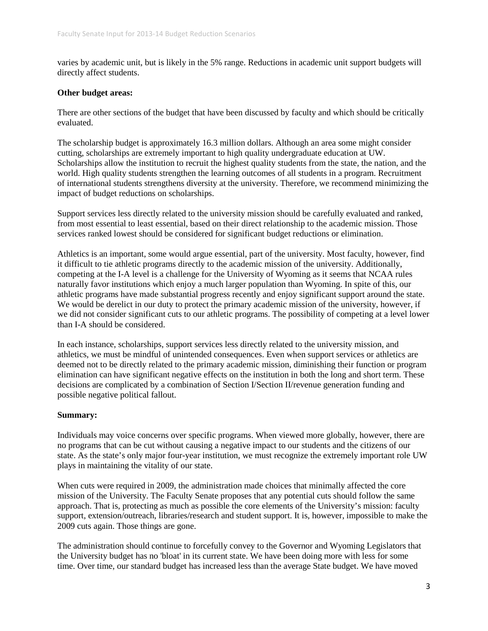varies by academic unit, but is likely in the 5% range. Reductions in academic unit support budgets will directly affect students.

## **Other budget areas:**

There are other sections of the budget that have been discussed by faculty and which should be critically evaluated.

The scholarship budget is approximately 16.3 million dollars. Although an area some might consider cutting, scholarships are extremely important to high quality undergraduate education at UW. Scholarships allow the institution to recruit the highest quality students from the state, the nation, and the world. High quality students strengthen the learning outcomes of all students in a program. Recruitment of international students strengthens diversity at the university. Therefore, we recommend minimizing the impact of budget reductions on scholarships.

Support services less directly related to the university mission should be carefully evaluated and ranked, from most essential to least essential, based on their direct relationship to the academic mission. Those services ranked lowest should be considered for significant budget reductions or elimination.

Athletics is an important, some would argue essential, part of the university. Most faculty, however, find it difficult to tie athletic programs directly to the academic mission of the university. Additionally, competing at the I-A level is a challenge for the University of Wyoming as it seems that NCAA rules naturally favor institutions which enjoy a much larger population than Wyoming. In spite of this, our athletic programs have made substantial progress recently and enjoy significant support around the state. We would be derelict in our duty to protect the primary academic mission of the university, however, if we did not consider significant cuts to our athletic programs. The possibility of competing at a level lower than I-A should be considered.

In each instance, scholarships, support services less directly related to the university mission, and athletics, we must be mindful of unintended consequences. Even when support services or athletics are deemed not to be directly related to the primary academic mission, diminishing their function or program elimination can have significant negative effects on the institution in both the long and short term. These decisions are complicated by a combination of Section I/Section II/revenue generation funding and possible negative political fallout.

# **Summary:**

Individuals may voice concerns over specific programs. When viewed more globally, however, there are no programs that can be cut without causing a negative impact to our students and the citizens of our state. As the state's only major four-year institution, we must recognize the extremely important role UW plays in maintaining the vitality of our state.

When cuts were required in 2009, the administration made choices that minimally affected the core mission of the University. The Faculty Senate proposes that any potential cuts should follow the same approach. That is, protecting as much as possible the core elements of the University's mission: faculty support, extension/outreach, libraries/research and student support. It is, however, impossible to make the 2009 cuts again. Those things are gone.

The administration should continue to forcefully convey to the Governor and Wyoming Legislators that the University budget has no 'bloat' in its current state. We have been doing more with less for some time. Over time, our standard budget has increased less than the average State budget. We have moved